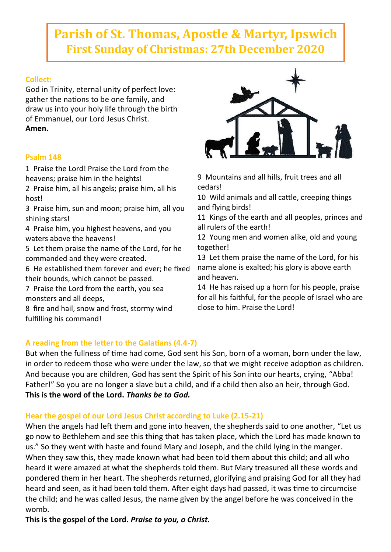# **Parish of St. Thomas, Apostle & Martyr, Ipswich First Sunday of Christmas: 27th December 2020**

# **Collect:**

God in Trinity, eternal unity of perfect love: gather the nations to be one family, and draw us into your holy life through the birth of Emmanuel, our Lord Jesus Christ. **Amen.**

# **Psalm 148**

1 Praise the Lord! Praise the Lord from the heavens; praise him in the heights!

2 Praise him, all his angels; praise him, all his host!

3 Praise him, sun and moon; praise him, all you shining stars!

4 Praise him, you highest heavens, and you waters above the heavens!

5 Let them praise the name of the Lord, for he commanded and they were created.

6 He established them forever and ever; he fixed their bounds, which cannot be passed.

7 Praise the Lord from the earth, you sea monsters and all deeps,

8 fire and hail, snow and frost, stormy wind fulfilling his command!



9 Mountains and all hills, fruit trees and all cedars!

10 Wild animals and all cattle, creeping things and flying birds!

11 Kings of the earth and all peoples, princes and all rulers of the earth!

12 Young men and women alike, old and young together!

13 Let them praise the name of the Lord, for his name alone is exalted; his glory is above earth and heaven.

14 He has raised up a horn for his people, praise for all his faithful, for the people of Israel who are close to him. Praise the Lord!

# **A reading from the letter to the Galatians (4.4-7)**

But when the fullness of time had come, God sent his Son, born of a woman, born under the law, in order to redeem those who were under the law, so that we might receive adoption as children. And because you are children, God has sent the Spirit of his Son into our hearts, crying, "Abba! Father!" So you are no longer a slave but a child, and if a child then also an heir, through God. **This is the word of the Lord.** *Thanks be to God.*

# **Hear the gospel of our Lord Jesus Christ according to Luke (2.15-21)**

When the angels had left them and gone into heaven, the shepherds said to one another, "Let us go now to Bethlehem and see this thing that has taken place, which the Lord has made known to us." So they went with haste and found Mary and Joseph, and the child lying in the manger. When they saw this, they made known what had been told them about this child; and all who heard it were amazed at what the shepherds told them. But Mary treasured all these words and pondered them in her heart. The shepherds returned, glorifying and praising God for all they had heard and seen, as it had been told them. After eight days had passed, it was time to circumcise the child; and he was called Jesus, the name given by the angel before he was conceived in the womb.

**This is the gospel of the Lord.** *Praise to you, o Christ.*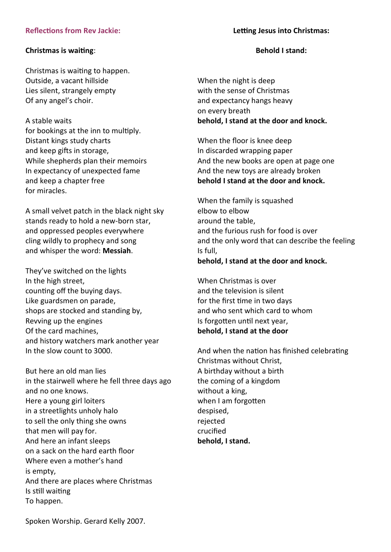## **Reflections from Rev Jackie:**

## **Christmas is waiting**:

Christmas is waiting to happen. Outside, a vacant hillside Lies silent, strangely empty Of any angel's choir.

## A stable waits

for bookings at the inn to multiply. Distant kings study charts and keep gifts in storage, While shepherds plan their memoirs In expectancy of unexpected fame and keep a chapter free for miracles.

A small velvet patch in the black night sky stands ready to hold a new-born star, and oppressed peoples everywhere cling wildly to prophecy and song and whisper the word: **Messiah**.

They've switched on the lights In the high street, counting off the buying days. Like guardsmen on parade, shops are stocked and standing by, Revving up the engines Of the card machines, and history watchers mark another year In the slow count to 3000.

But here an old man lies in the stairwell where he fell three days ago and no one knows. Here a young girl loiters in a streetlights unholy halo to sell the only thing she owns that men will pay for. And here an infant sleeps on a sack on the hard earth floor Where even a mother's hand is empty, And there are places where Christmas Is still waiting To happen.

**Letting Jesus into Christmas:**

#### **Behold I stand:**

When the night is deep with the sense of Christmas and expectancy hangs heavy on every breath **behold, I stand at the door and knock.**

When the floor is knee deep In discarded wrapping paper And the new books are open at page one And the new toys are already broken **behold I stand at the door and knock.**

When the family is squashed elbow to elbow around the table, and the furious rush for food is over and the only word that can describe the feeling Is full, **behold, I stand at the door and knock.**

When Christmas is over and the television is silent for the first time in two days and who sent which card to whom Is forgotten until next year, **behold, I stand at the door**

And when the nation has finished celebrating Christmas without Christ, A birthday without a birth the coming of a kingdom without a king, when I am forgotten despised, rejected crucified **behold, I stand.**

Spoken Worship. Gerard Kelly 2007.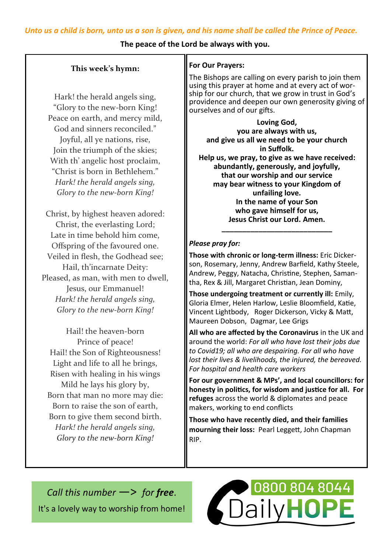#### **The peace of the Lord be always with you.**

## **This week's hymn:**

Hark! the herald angels sing, "Glory to the new-born King! Peace on earth, and mercy mild, God and sinners reconciled." Joyful, all ye nations, rise, Join the triumph of the skies; With th' angelic host proclaim, "Christ is born in Bethlehem." *Hark! the herald angels sing, Glory to the new-born King!*

Christ, by highest heaven adored: Christ, the everlasting Lord; Late in time behold him come, Offspring of the favoured one. Veiled in flesh, the Godhead see; Hail, th'incarnate Deity: Pleased, as man, with men to dwell, Jesus, our Emmanuel! *Hark! the herald angels sing, Glory to the new-born King!*

Hail! the heaven-born Prince of peace! Hail! the Son of Righteousness! Light and life to all he brings, Risen with healing in his wings Mild he lays his glory by, Born that man no more may die: Born to raise the son of earth, Born to give them second birth. *Hark! the herald angels sing, Glory to the new-born King!*

## **For Our Prayers:**

The Bishops are calling on every parish to join them using this prayer at home and at every act of worship for our church, that we grow in trust in God's providence and deepen our own generosity giving of ourselves and of our gifts.

**Loving God, you are always with us, and give us all we need to be your church in Suffolk. Help us, we pray, to give as we have received: abundantly, generously, and joyfully, that our worship and our service may bear witness to your Kingdom of unfailing love. In the name of your Son who gave himself for us, Jesus Christ our Lord. Amen.**

## *Please pray for:*

**Those with chronic or long-term illness:** Eric Dickerson, Rosemary, Jenny, Andrew Barfield, Kathy Steele, Andrew, Peggy, Natacha, Christine, Stephen, Samantha, Rex & Jill, Margaret Christian, Jean Dominy,

**\_\_\_\_\_\_\_\_\_\_\_\_\_\_\_\_\_\_\_\_\_\_\_\_\_\_\_**

**Those undergoing treatment or currently ill:** Emily, Gloria Elmer, Helen Harlow, Leslie Bloomfield, Katie, Vincent Lightbody, Roger Dickerson, Vicky & Matt, Maureen Dobson, Dagmar, Lee Grigs

**All who are affected by the Coronavirus** in the UK and around the world: *For all who have lost their jobs due to Covid19; all who are despairing. For all who have lost their lives & livelihoods, the injured, the bereaved. For hospital and health care workers*

**For our government & MPs', and local councillors: for honesty in politics, for wisdom and justice for all. For refuges** across the world & diplomates and peace makers, working to end conflicts

**Those who have recently died, and their families mourning their loss:** Pearl Leggett, John Chapman RIP.

*Call this number* —> *for free*. It's a lovely way to worship from home!